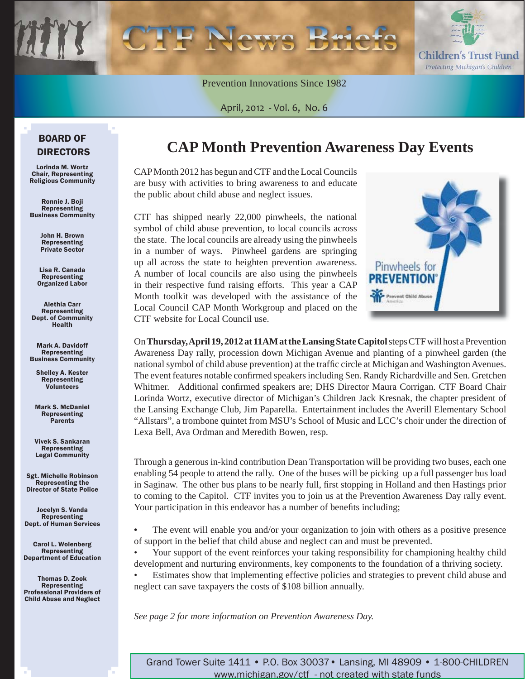

Prevention Innovations Since 1982

April, 2012 - Vol. 6, No. 6

#### BOARD OF DIRECTORS

Lorinda M. Wortz Chair, Representing Religious Community

Ronnie J. Boji Representing Business Community

> John H. Brown Representing Private Sector

Lisa R. Canada Representing Organized Labor

Alethia Carr Representing Dept. of Community Health

Mark A. Davidoff Representing Business Community

Shelley A. Kester Representing Volunteers

Mark S. McDaniel Representing Parents

Vivek S. Sankaran Representing Legal Community

Sgt. Michelle Robinson Representing the Director of State Police

Jocelyn S. Vanda Representing Dept. of Human Services

Carol L. Wolenberg Representing Department of Education

Thomas D. Zook Representing Professional Providers of Child Abuse and Neglect

### **CAP Month Prevention Awareness Day Events**

CAP Month 2012 has begun and CTF and the Local Councils are busy with activities to bring awareness to and educate the public about child abuse and neglect issues.

CTF has shipped nearly 22,000 pinwheels, the national symbol of child abuse prevention, to local councils across the state. The local councils are already using the pinwheels in a number of ways. Pinwheel gardens are springing up all across the state to heighten prevention awareness. A number of local councils are also using the pinwheels in their respective fund raising efforts. This year a CAP Month toolkit was developed with the assistance of the Local Council CAP Month Workgroup and placed on the CTF website for Local Council use.



On **Thursday, April 19, 2012 at 11AM at the Lansing State Capitol** steps CTF will host a Prevention Awareness Day rally, procession down Michigan Avenue and planting of a pinwheel garden (the national symbol of child abuse prevention) at the traffic circle at Michigan and Washington Avenues. The event features notable confirmed speakers including Sen. Randy Richardville and Sen. Gretchen Whitmer. Additional confirmed speakers are; DHS Director Maura Corrigan. CTF Board Chair Lorinda Wortz, executive director of Michigan's Children Jack Kresnak, the chapter president of the Lansing Exchange Club, Jim Paparella. Entertainment includes the Averill Elementary School "Allstars", a trombone quintet from MSU's School of Music and LCC's choir under the direction of Lexa Bell, Ava Ordman and Meredith Bowen, resp.

Through a generous in-kind contribution Dean Transportation will be providing two buses, each one enabling 54 people to attend the rally. One of the buses will be picking up a full passenger bus load in Saginaw. The other bus plans to be nearly full, first stopping in Holland and then Hastings prior to coming to the Capitol. CTF invites you to join us at the Prevention Awareness Day rally event. Your participation in this endeavor has a number of benefits including;

**•** The event will enable you and/or your organization to join with others as a positive presence of support in the belief that child abuse and neglect can and must be prevented.

• Your support of the event reinforces your taking responsibility for championing healthy child development and nurturing environments, key components to the foundation of a thriving society.

• Estimates show that implementing effective policies and strategies to prevent child abuse and neglect can save taxpayers the costs of \$108 billion annually.

*See page 2 for more information on Prevention Awareness Day.* 

Grand Tower Suite 1411 • P.O. Box 30037• Lansing, MI 48909 • 1-800-CHILDREN www.michigan.gov/ctf - not created with state funds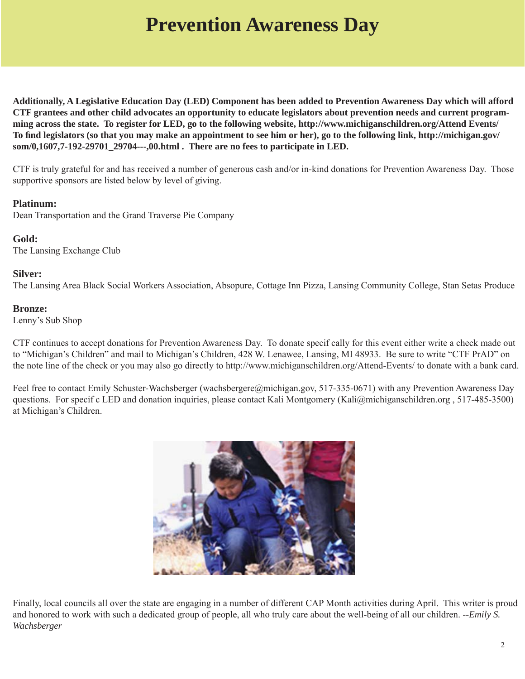# **Prevention Awareness Day**

**Additionally, A Legislative Education Day (LED) Component has been added to Prevention Awareness Day which will afford CTF grantees and other child advocates an opportunity to educate legislators about prevention needs and current programming across the state. To register for LED, go to the following website, http://www.michiganschildren.org/Attend Events/ To fi [nd legislators \(so that you may make an appointment to see him or her\), go to the following link, http://michigan.gov/](http://michigan.gov/som/0,1607,7-192-29701_29704---,00.html) som/0,1607,7-192-29701\_29704---,00.html . There are no fees to participate in LED.** 

CTF is truly grateful for and has received a number of generous cash and/or in-kind donations for Prevention Awareness Day. Those supportive sponsors are listed below by level of giving.

#### **Platinum:**

Dean Transportation and the Grand Traverse Pie Company

#### **Gold:**

The Lansing Exchange Club

#### **Silver:**

The Lansing Area Black Social Workers Association, Absopure, Cottage Inn Pizza, Lansing Community College, Stan Setas Produce

#### **Bronze:**

Lenny's Sub Shop

CTF continues to accept donations for Prevention Awareness Day. To donate specif cally for this event either write a check made out to "Michigan's Children" and mail to Michigan's Children, 428 W. Lenawee, Lansing, MI 48933. Be sure to write "CTF PrAD" on the note line of the check or you may also go directly to http://www.michiganschildren.org/Attend-Events/ to donate with a bank card.

Feel free to contact Emily Schuster-Wachsberger (wachsbergere@michigan.gov, 517-335-0671) with any Prevention Awareness Day questions. For specif c LED and donation inquiries, please contact Kali Montgomery (Kali@michiganschildren.org , 517-485-3500) at Michigan's Children.



Finally, local councils all over the state are engaging in a number of different CAP Month activities during April. This writer is proud and honored to work with such a dedicated group of people, all who truly care about the well-being of all our children. *--Emily S. Wachsberger*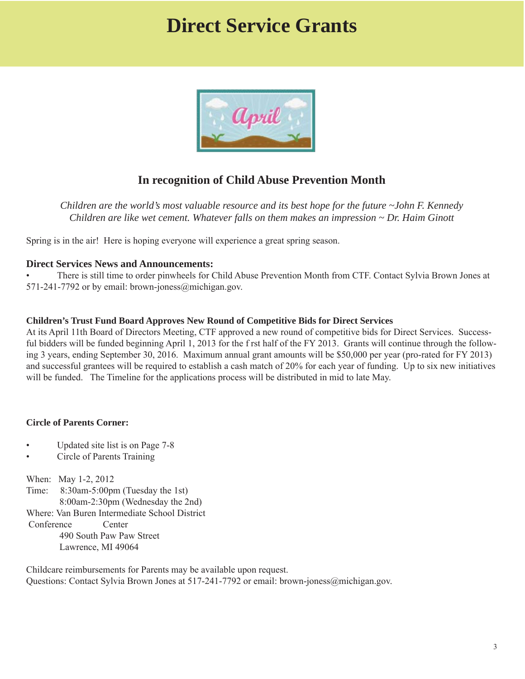## **Direct Service Grants**



#### **In recognition of Child Abuse Prevention Month**

*Children are the world's most valuable resource and its best hope for the future ~John F. Kennedy Children are like wet cement. Whatever falls on them makes an impression ~ Dr. Haim Ginott*

Spring is in the air! Here is hoping everyone will experience a great spring season.

#### **Direct Services News and Announcements:**

• There is still time to order pinwheels for Child Abuse Prevention Month from CTF. Contact Sylvia Brown Jones at 571-241-7792 or by email: brown-joness@michigan.gov.

#### **Children's Trust Fund Board Approves New Round of Competitive Bids for Direct Services**

At its April 11th Board of Directors Meeting, CTF approved a new round of competitive bids for Direct Services. Successful bidders will be funded beginning April 1, 2013 for the f rst half of the FY 2013. Grants will continue through the following 3 years, ending September 30, 2016. Maximum annual grant amounts will be \$50,000 per year (pro-rated for FY 2013) and successful grantees will be required to establish a cash match of 20% for each year of funding. Up to six new initiatives will be funded. The Timeline for the applications process will be distributed in mid to late May.

#### **Circle of Parents Corner:**

- Updated site list is on Page 7-8
- Circle of Parents Training

When: May 1-2, 2012 Time: 8:30am-5:00pm (Tuesday the 1st) 8:00am-2:30pm (Wednesday the 2nd) Where: Van Buren Intermediate School District Conference Center 490 South Paw Paw Street Lawrence, MI 49064

Childcare reimbursements for Parents may be available upon request. Questions: Contact Sylvia Brown Jones at 517-241-7792 or email: brown-joness@michigan.gov.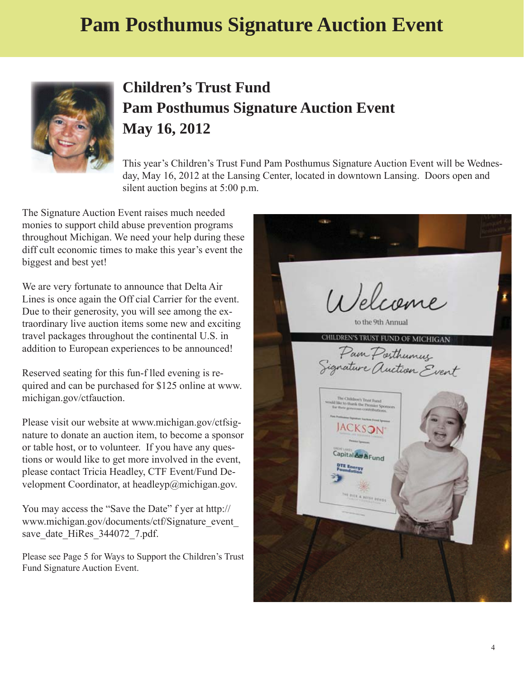# **Pam Posthumus Signature Auction Event**



### **Children's Trust Fund Pam Posthumus Signature Auction Event May 16, 2012**

This year's Children's Trust Fund Pam Posthumus Signature Auction Event will be Wednesday, May 16, 2012 at the Lansing Center, located in downtown Lansing. Doors open and silent auction begins at 5:00 p.m.

The Signature Auction Event raises much needed monies to support child abuse prevention programs throughout Michigan. We need your help during these diff cult economic times to make this year's event the biggest and best yet!

We are very fortunate to announce that Delta Air Lines is once again the Off cial Carrier for the event. Due to their generosity, you will see among the extraordinary live auction items some new and exciting travel packages throughout the continental U.S. in addition to European experiences to be announced!

Reserved seating for this fun-f lled evening is re[quired and can be purchased for \\$125 online at www.](www.michigan.gov/ctfauction) michigan.gov/ctfauction.

[Please visit our website at www.michigan.gov/ctfsig](www.michigan.gov/ctfsignature)nature to donate an auction item, to become a sponsor or table host, or to volunteer. If you have any questions or would like to get more involved in the event, please contact Tricia Headley, CTF Event/Fund Development Coordinator, at headleyp@michigan.gov.

You may access the "Save the Date" f yer at http:// [www.michigan.gov/documents/ctf/Signature\\_event\\_](http://www.michigan.gov/documents/ctf/Signature_event_save_date_HiRes_344072_7.pdf) save\_date\_HiRes\_344072\_7.pdf.

Please see Page 5 for Ways to Support the Children's Trust Fund Signature Auction Event.

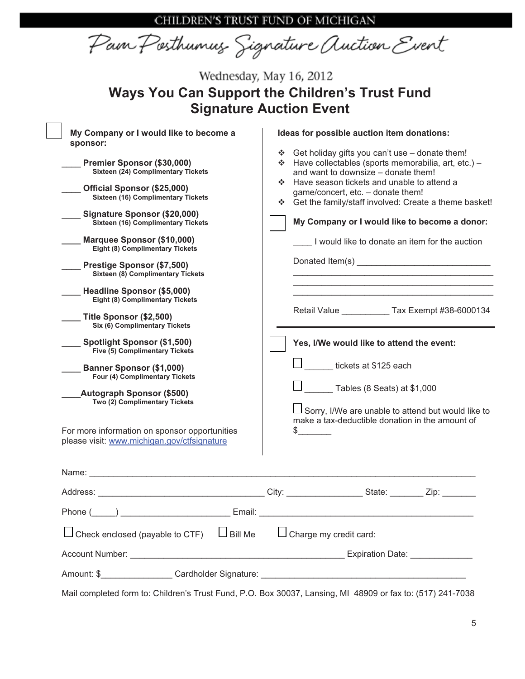CHILDREN'S TRUST FUND OF MICHIGAN

Pain Posthumus Signature Auction Event

| Wednesday, May 16, 2012<br><b>Ways You Can Support the Children's Trust Fund</b><br><b>Signature Auction Event</b>                                                                                                                                                                                                                                                                                                                                                                                                                                                                                                                                                                                                                                                                                                                                                               |                                                                                                                                                                                                                                                                                                                                                                                                                                                                                                                                                                                                                                                                                                                                                       |  |  |  |  |  |  |
|----------------------------------------------------------------------------------------------------------------------------------------------------------------------------------------------------------------------------------------------------------------------------------------------------------------------------------------------------------------------------------------------------------------------------------------------------------------------------------------------------------------------------------------------------------------------------------------------------------------------------------------------------------------------------------------------------------------------------------------------------------------------------------------------------------------------------------------------------------------------------------|-------------------------------------------------------------------------------------------------------------------------------------------------------------------------------------------------------------------------------------------------------------------------------------------------------------------------------------------------------------------------------------------------------------------------------------------------------------------------------------------------------------------------------------------------------------------------------------------------------------------------------------------------------------------------------------------------------------------------------------------------------|--|--|--|--|--|--|
| My Company or I would like to become a<br>sponsor:<br>Premier Sponsor (\$30,000)<br><b>Sixteen (24) Complimentary Tickets</b><br>Official Sponsor (\$25,000)<br><b>Sixteen (16) Complimentary Tickets</b><br>Signature Sponsor (\$20,000)<br><b>Sixteen (16) Complimentary Tickets</b><br>Marquee Sponsor (\$10,000)<br><b>Eight (8) Complimentary Tickets</b><br>Prestige Sponsor (\$7,500)<br><b>Sixteen (8) Complimentary Tickets</b><br>Headline Sponsor (\$5,000)<br>Eight (8) Complimentary Tickets<br>Title Sponsor (\$2,500)<br>Six (6) Complimentary Tickets<br>Spotlight Sponsor (\$1,500)<br>Five (5) Complimentary Tickets<br><b>Banner Sponsor (\$1,000)</b><br>Four (4) Complimentary Tickets<br><b>Autograph Sponsor (\$500)</b><br>Two (2) Complimentary Tickets<br>For more information on sponsor opportunities<br>please visit: www.michigan.gov/ctfsignature | Ideas for possible auction item donations:<br>❖ Get holiday gifts you can't use - donate them!<br>❖ Have collectables (sports memorabilia, art, etc.) -<br>and want to downsize - donate them!<br>Have season tickets and unable to attend a<br>÷<br>game/concert, etc. - donate them!<br>Get the family/staff involved: Create a theme basket!<br>My Company or I would like to become a donor:<br>I would like to donate an item for the auction<br>Donated Item(s) New York 1999<br>Retail Value Tax Exempt #38-6000134<br>Yes, I/We would like to attend the event:<br>tickets at \$125 each<br>Tables (8 Seats) at \$1,000<br>$\Box$ Sorry, I/We are unable to attend but would like to<br>make a tax-deductible donation in the amount of<br>\$ |  |  |  |  |  |  |
|                                                                                                                                                                                                                                                                                                                                                                                                                                                                                                                                                                                                                                                                                                                                                                                                                                                                                  |                                                                                                                                                                                                                                                                                                                                                                                                                                                                                                                                                                                                                                                                                                                                                       |  |  |  |  |  |  |
|                                                                                                                                                                                                                                                                                                                                                                                                                                                                                                                                                                                                                                                                                                                                                                                                                                                                                  |                                                                                                                                                                                                                                                                                                                                                                                                                                                                                                                                                                                                                                                                                                                                                       |  |  |  |  |  |  |
|                                                                                                                                                                                                                                                                                                                                                                                                                                                                                                                                                                                                                                                                                                                                                                                                                                                                                  |                                                                                                                                                                                                                                                                                                                                                                                                                                                                                                                                                                                                                                                                                                                                                       |  |  |  |  |  |  |
| Check enclosed (payable to CTF) $\Box$ Bill Me                                                                                                                                                                                                                                                                                                                                                                                                                                                                                                                                                                                                                                                                                                                                                                                                                                   | $\Box$ Charge my credit card:                                                                                                                                                                                                                                                                                                                                                                                                                                                                                                                                                                                                                                                                                                                         |  |  |  |  |  |  |
|                                                                                                                                                                                                                                                                                                                                                                                                                                                                                                                                                                                                                                                                                                                                                                                                                                                                                  |                                                                                                                                                                                                                                                                                                                                                                                                                                                                                                                                                                                                                                                                                                                                                       |  |  |  |  |  |  |
|                                                                                                                                                                                                                                                                                                                                                                                                                                                                                                                                                                                                                                                                                                                                                                                                                                                                                  |                                                                                                                                                                                                                                                                                                                                                                                                                                                                                                                                                                                                                                                                                                                                                       |  |  |  |  |  |  |

Mail completed form to: Children's Trust Fund, P.O. Box 30037, Lansing, MI 48909 or fax to: (517) 241-7038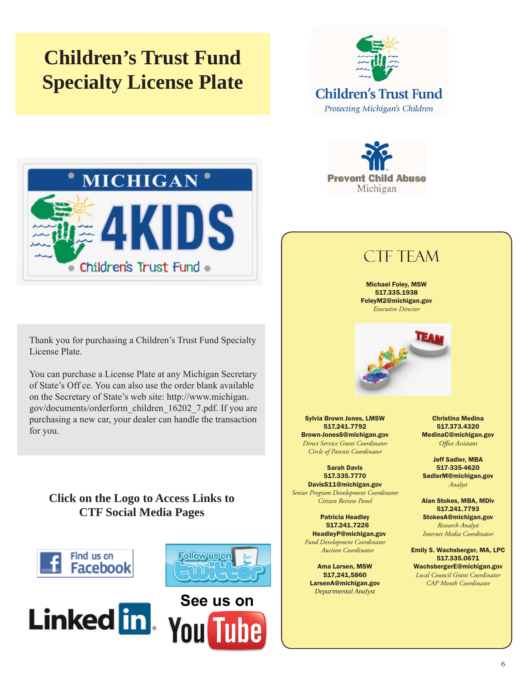# **Children's Trust Fund Specialty License Plate**





Thank you for purchasing a Children's Trust Fund Specialty License Plate.

You can purchase a License Plate at any Michigan Secretary of State's Off ce. You can also use the order blank available [on the Secretary of State's web site: http://www.michigan.](http://www.michigan.gov/documents/orderform_children_16202_7.pdf) gov/documents/orderform\_children\_16202\_7.pdf. If you are purchasing a new car, your dealer can handle the transaction for you.

### **Click on the Logo to Access Links to CTF Social Media Pages**











### CTF TEAM

Michael Foley, MSW 517.335.1938 FoleyM2@michigan.gov *Executive Director*



Sylvia Brown Jones, LMSW 517.241.7792 Brown-JonesS@michigan.gov *Direct Service Grant Coordinator Circle of Parents Coordinator*

Sarah Davis 517.335.7770 DavisS11@michigan.gov

*Senior Program Development Coordinator Citizen Review Panel*

> Patricia Headley 517.241.7226 HeadleyP@michigan.gov *Fund Development Coordinator Auction Coordinator*

Ama Larsen, MSW 517,241,5860 LarsenA@michigan.gov *Departmental Analyst*

 Christina Medina 517.373.4320 MedinaC@michigan.gov **Office Assistant** 

Jeff Sadler, MBA 517-335-4620 SadlerM@michigan.gov *Analyst*

Alan Stokes, MBA, MDiv 517.241.7793 StokesA@michigan.gov *Research Analyst Internet Media Coordinator*

Emily S. Wachsberger, MA, LPC 517.335.0671

WachsbergerE@michigan.gov *Local Council Grant Coordinator CAP Month Coordinator*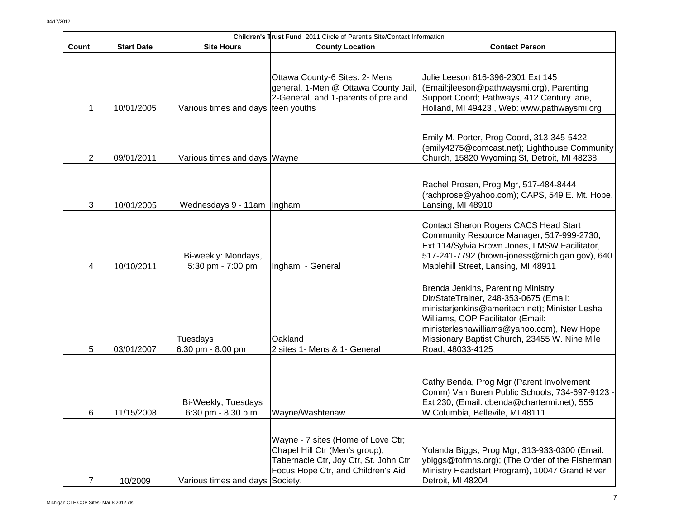|       | Children's Trust Fund 2011 Circle of Parent's Site/Contact Information |                                                |                                                                                                                                                      |                                                                                                                                                                                                                                                                                        |  |
|-------|------------------------------------------------------------------------|------------------------------------------------|------------------------------------------------------------------------------------------------------------------------------------------------------|----------------------------------------------------------------------------------------------------------------------------------------------------------------------------------------------------------------------------------------------------------------------------------------|--|
| Count | <b>Start Date</b>                                                      | <b>Site Hours</b>                              | <b>County Location</b>                                                                                                                               | <b>Contact Person</b>                                                                                                                                                                                                                                                                  |  |
|       | 10/01/2005                                                             | Various times and days teen youths             | Ottawa County-6 Sites: 2- Mens<br>general, 1-Men @ Ottawa County Jail,<br>2-General, and 1-parents of pre and                                        | Julie Leeson 616-396-2301 Ext 145<br>(Email:jleeson@pathwaysmi.org), Parenting<br>Support Coord; Pathways, 412 Century lane,<br>Holland, MI 49423, Web: www.pathwaysmi.org                                                                                                             |  |
| 2     | 09/01/2011                                                             | Various times and days Wayne                   |                                                                                                                                                      | Emily M. Porter, Prog Coord, 313-345-5422<br>(emily4275@comcast.net); Lighthouse Community<br>Church, 15820 Wyoming St, Detroit, MI 48238                                                                                                                                              |  |
| 3     | 10/01/2005                                                             | Wednesdays 9 - 11am   Ingham                   |                                                                                                                                                      | Rachel Prosen, Prog Mgr, 517-484-8444<br>(rachprose@yahoo.com); CAPS, 549 E. Mt. Hope,<br>Lansing, MI 48910                                                                                                                                                                            |  |
|       | 10/10/2011                                                             | Bi-weekly: Mondays,<br>5:30 pm - 7:00 pm       | Ingham - General                                                                                                                                     | Contact Sharon Rogers CACS Head Start<br>Community Resource Manager, 517-999-2730,<br>Ext 114/Sylvia Brown Jones, LMSW Facilitator,<br>517-241-7792 (brown-joness@michigan.gov), 640<br>Maplehill Street, Lansing, MI 48911                                                            |  |
| 5     | 03/01/2007                                                             | Tuesdays<br>6:30 pm - 8:00 pm                  | Oakland<br>2 sites 1- Mens & 1- General                                                                                                              | Brenda Jenkins, Parenting Ministry<br>Dir/StateTrainer, 248-353-0675 (Email:<br>ministerjenkins@ameritech.net); Minister Lesha<br>Williams, COP Facilitator (Email:<br>ministerleshawilliams@yahoo.com), New Hope<br>Missionary Baptist Church, 23455 W. Nine Mile<br>Road, 48033-4125 |  |
| 6     | 11/15/2008                                                             | Bi-Weekly, Tuesdays<br>$6:30$ pm - $8:30$ p.m. | Wayne/Washtenaw                                                                                                                                      | Cathy Benda, Prog Mgr (Parent Involvement<br>Comm) Van Buren Public Schools, 734-697-9123 -<br>Ext 230, (Email: cbenda@chartermi.net); 555<br>W.Columbia, Bellevile, MI 48111                                                                                                          |  |
|       | 10/2009                                                                | Various times and days Society.                | Wayne - 7 sites (Home of Love Ctr;<br>Chapel Hill Ctr (Men's group),<br>Tabernacle Ctr, Joy Ctr, St. John Ctr,<br>Focus Hope Ctr, and Children's Aid | Yolanda Biggs, Prog Mgr, 313-933-0300 (Email:<br>ybiggs@tofmhs.org); (The Order of the Fisherman<br>Ministry Headstart Program), 10047 Grand River,<br>Detroit, MI 48204                                                                                                               |  |